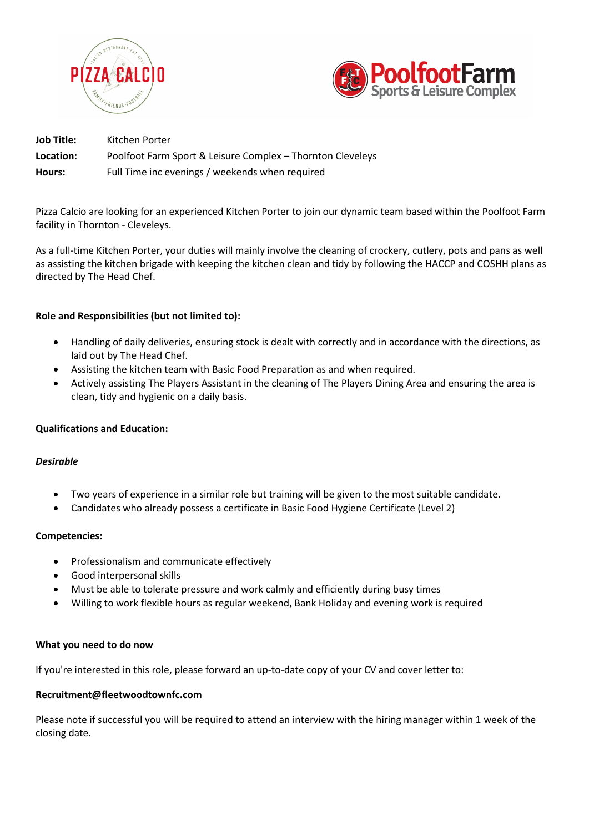



| Job Title: | Kitchen Porter                                             |
|------------|------------------------------------------------------------|
| Location:  | Poolfoot Farm Sport & Leisure Complex – Thornton Cleveleys |
| Hours:     | Full Time inc evenings / weekends when required            |

Pizza Calcio are looking for an experienced Kitchen Porter to join our dynamic team based within the Poolfoot Farm facility in Thornton - Cleveleys.

As a full-time Kitchen Porter, your duties will mainly involve the cleaning of crockery, cutlery, pots and pans as well as assisting the kitchen brigade with keeping the kitchen clean and tidy by following the HACCP and COSHH plans as directed by The Head Chef.

# **Role and Responsibilities (but not limited to):**

- Handling of daily deliveries, ensuring stock is dealt with correctly and in accordance with the directions, as laid out by The Head Chef.
- Assisting the kitchen team with Basic Food Preparation as and when required.
- Actively assisting The Players Assistant in the cleaning of The Players Dining Area and ensuring the area is clean, tidy and hygienic on a daily basis.

## **Qualifications and Education:**

## *Desirable*

- Two years of experience in a similar role but training will be given to the most suitable candidate.
- Candidates who already possess a certificate in Basic Food Hygiene Certificate (Level 2)

## **Competencies:**

- Professionalism and communicate effectively
- Good interpersonal skills
- Must be able to tolerate pressure and work calmly and efficiently during busy times
- Willing to work flexible hours as regular weekend, Bank Holiday and evening work is required

## **What you need to do now**

If you're interested in this role, please forward an up-to-date copy of your CV and cover letter to:

#### **Recruitment@fleetwoodtownfc.com**

Please note if successful you will be required to attend an interview with the hiring manager within 1 week of the closing date.